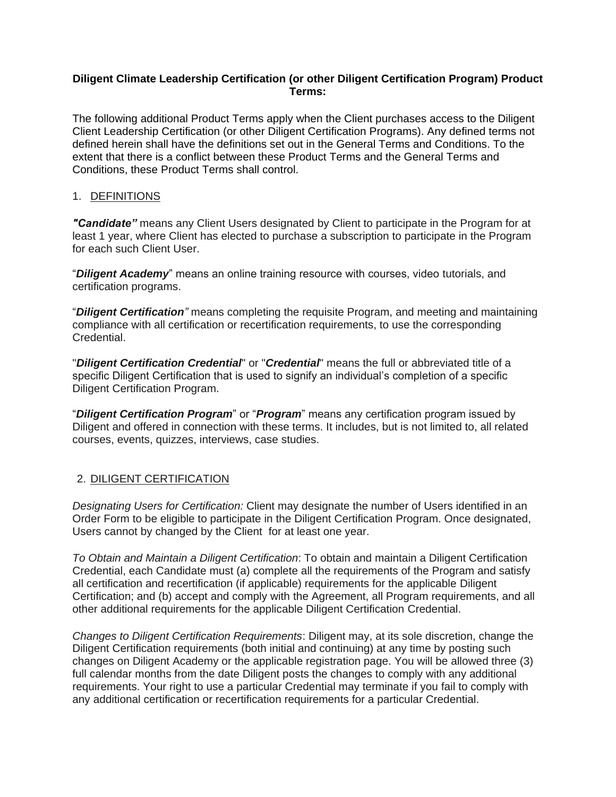### **Diligent Climate Leadership Certification (or other Diligent Certification Program) Product Terms:**

The following additional Product Terms apply when the Client purchases access to the Diligent Client Leadership Certification (or other Diligent Certification Programs). Any defined terms not defined herein shall have the definitions set out in the General Terms and Conditions. To the extent that there is a conflict between these Product Terms and the General Terms and Conditions, these Product Terms shall control.

#### 1. DEFINITIONS

*"Candidate"* means any Client Users designated by Client to participate in the Program for at least 1 year, where Client has elected to purchase a subscription to participate in the Program for each such Client User.

"*Diligent Academy*" means an online training resource with courses, video tutorials, and certification programs.

"*Diligent Certification"* means completing the requisite Program, and meeting and maintaining compliance with all certification or recertification requirements, to use the corresponding Credential.

"*Diligent Certification Credential*" or "*Credential*" means the full or abbreviated title of a specific Diligent Certification that is used to signify an individual's completion of a specific Diligent Certification Program.

"*Diligent Certification Program*" or "*Program*" means any certification program issued by Diligent and offered in connection with these terms. It includes, but is not limited to, all related courses, events, quizzes, interviews, case studies.

### 2. DILIGENT CERTIFICATION

*Designating Users for Certification:* Client may designate the number of Users identified in an Order Form to be eligible to participate in the Diligent Certification Program. Once designated, Users cannot by changed by the Client for at least one year.

*To Obtain and Maintain a Diligent Certification*: To obtain and maintain a Diligent Certification Credential, each Candidate must (a) complete all the requirements of the Program and satisfy all certification and recertification (if applicable) requirements for the applicable Diligent Certification; and (b) accept and comply with the Agreement, all Program requirements, and all other additional requirements for the applicable Diligent Certification Credential.

*Changes to Diligent Certification Requirements*: Diligent may, at its sole discretion, change the Diligent Certification requirements (both initial and continuing) at any time by posting such changes on Diligent Academy or the applicable registration page. You will be allowed three (3) full calendar months from the date Diligent posts the changes to comply with any additional requirements. Your right to use a particular Credential may terminate if you fail to comply with any additional certification or recertification requirements for a particular Credential.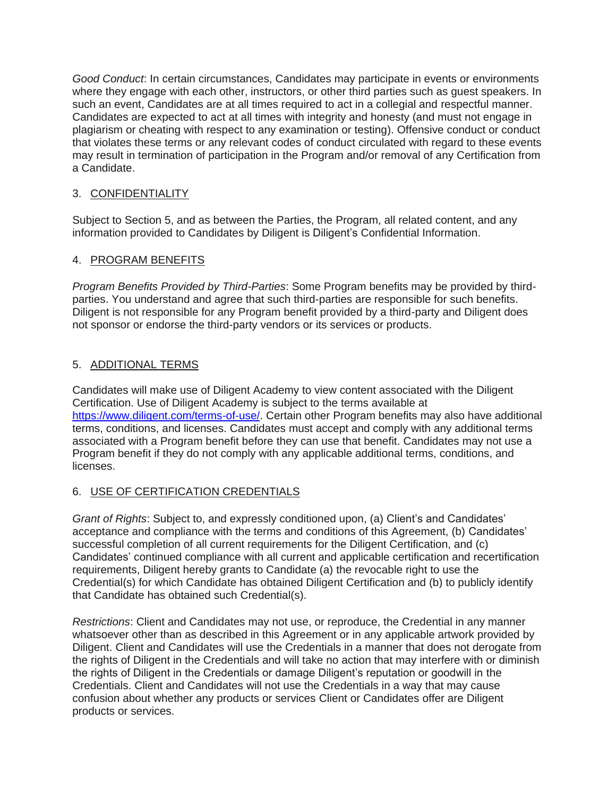*Good Conduct*: In certain circumstances, Candidates may participate in events or environments where they engage with each other, instructors, or other third parties such as guest speakers. In such an event, Candidates are at all times required to act in a collegial and respectful manner. Candidates are expected to act at all times with integrity and honesty (and must not engage in plagiarism or cheating with respect to any examination or testing). Offensive conduct or conduct that violates these terms or any relevant codes of conduct circulated with regard to these events may result in termination of participation in the Program and/or removal of any Certification from a Candidate.

### 3. CONFIDENTIALITY

Subject to Section 5, and as between the Parties, the Program, all related content, and any information provided to Candidates by Diligent is Diligent's Confidential Information.

### 4. PROGRAM BENEFITS

*Program Benefits Provided by Third-Parties*: Some Program benefits may be provided by thirdparties. You understand and agree that such third-parties are responsible for such benefits. Diligent is not responsible for any Program benefit provided by a third-party and Diligent does not sponsor or endorse the third-party vendors or its services or products.

# 5. ADDITIONAL TERMS

Candidates will make use of Diligent Academy to view content associated with the Diligent Certification. Use of Diligent Academy is subject to the terms available at [https://www.diligent.com/terms-of-use/.](https://www.diligent.com/terms-of-use/) Certain other Program benefits may also have additional terms, conditions, and licenses. Candidates must accept and comply with any additional terms associated with a Program benefit before they can use that benefit. Candidates may not use a Program benefit if they do not comply with any applicable additional terms, conditions, and licenses.

# 6. USE OF CERTIFICATION CREDENTIALS

*Grant of Rights*: Subject to, and expressly conditioned upon, (a) Client's and Candidates' acceptance and compliance with the terms and conditions of this Agreement, (b) Candidates' successful completion of all current requirements for the Diligent Certification, and (c) Candidates' continued compliance with all current and applicable certification and recertification requirements, Diligent hereby grants to Candidate (a) the revocable right to use the Credential(s) for which Candidate has obtained Diligent Certification and (b) to publicly identify that Candidate has obtained such Credential(s).

*Restrictions*: Client and Candidates may not use, or reproduce, the Credential in any manner whatsoever other than as described in this Agreement or in any applicable artwork provided by Diligent. Client and Candidates will use the Credentials in a manner that does not derogate from the rights of Diligent in the Credentials and will take no action that may interfere with or diminish the rights of Diligent in the Credentials or damage Diligent's reputation or goodwill in the Credentials. Client and Candidates will not use the Credentials in a way that may cause confusion about whether any products or services Client or Candidates offer are Diligent products or services.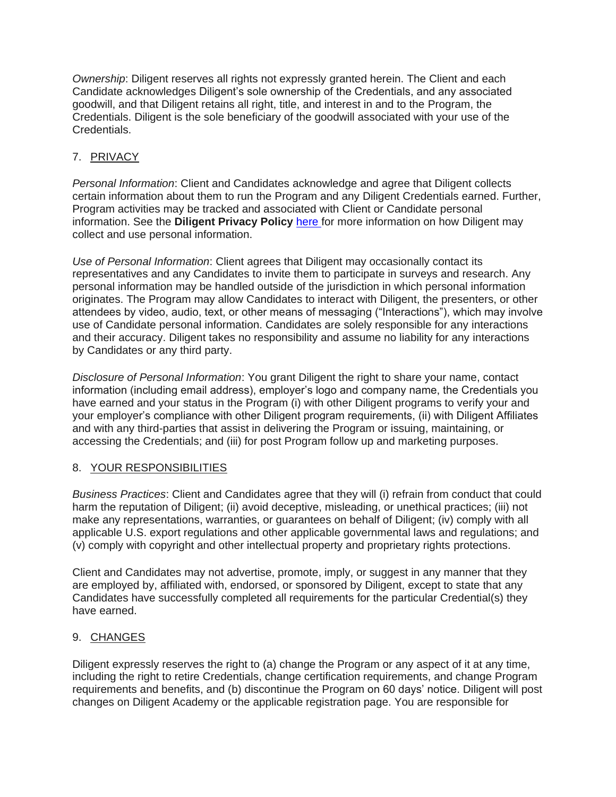*Ownership*: Diligent reserves all rights not expressly granted herein. The Client and each Candidate acknowledges Diligent's sole ownership of the Credentials, and any associated goodwill, and that Diligent retains all right, title, and interest in and to the Program, the Credentials. Diligent is the sole beneficiary of the goodwill associated with your use of the Credentials.

# 7. PRIVACY

*Personal Information*: Client and Candidates acknowledge and agree that Diligent collects certain information about them to run the Program and any Diligent Credentials earned. Further, Program activities may be tracked and associated with Client or Candidate personal information. See the **Diligent Privacy Policy** [here](https://www.diligent.com/privacy) for more information on how Diligent may collect and use personal information.

*Use of Personal Information*: Client agrees that Diligent may occasionally contact its representatives and any Candidates to invite them to participate in surveys and research. Any personal information may be handled outside of the jurisdiction in which personal information originates. The Program may allow Candidates to interact with Diligent, the presenters, or other attendees by video, audio, text, or other means of messaging ("Interactions"), which may involve use of Candidate personal information. Candidates are solely responsible for any interactions and their accuracy. Diligent takes no responsibility and assume no liability for any interactions by Candidates or any third party.

*Disclosure of Personal Information*: You grant Diligent the right to share your name, contact information (including email address), employer's logo and company name, the Credentials you have earned and your status in the Program (i) with other Diligent programs to verify your and your employer's compliance with other Diligent program requirements, (ii) with Diligent Affiliates and with any third-parties that assist in delivering the Program or issuing, maintaining, or accessing the Credentials; and (iii) for post Program follow up and marketing purposes.

### 8. YOUR RESPONSIBILITIES

*Business Practices*: Client and Candidates agree that they will (i) refrain from conduct that could harm the reputation of Diligent; (ii) avoid deceptive, misleading, or unethical practices; (iii) not make any representations, warranties, or guarantees on behalf of Diligent; (iv) comply with all applicable U.S. export regulations and other applicable governmental laws and regulations; and (v) comply with copyright and other intellectual property and proprietary rights protections.

Client and Candidates may not advertise, promote, imply, or suggest in any manner that they are employed by, affiliated with, endorsed, or sponsored by Diligent, except to state that any Candidates have successfully completed all requirements for the particular Credential(s) they have earned.

### 9. CHANGES

Diligent expressly reserves the right to (a) change the Program or any aspect of it at any time, including the right to retire Credentials, change certification requirements, and change Program requirements and benefits, and (b) discontinue the Program on 60 days' notice. Diligent will post changes on Diligent Academy or the applicable registration page. You are responsible for